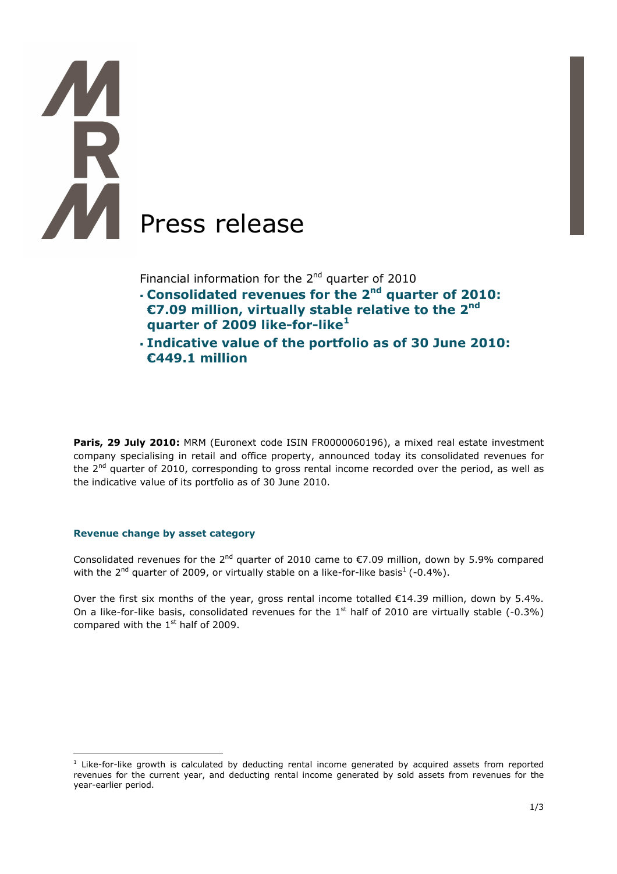# Press release

Financial information for the  $2^{nd}$  quarter of 2010

- **Consolidated revenues for the 2nd quarter of 2010: €7.09 million, virtually stable relative to the 2nd quarter of 2009 like-for-like<sup>1</sup>**
- **Indicative value of the portfolio as of 30 June 2010: €449.1 million**

Paris, 29 July 2010: MRM (Euronext code ISIN FR0000060196), a mixed real estate investment company specialising in retail and office property, announced today its consolidated revenues for the  $2<sup>nd</sup>$  quarter of 2010, corresponding to gross rental income recorded over the period, as well as the indicative value of its portfolio as of 30 June 2010.

## **Revenue change by asset category**

 $\overline{a}$ 

Consolidated revenues for the 2<sup>nd</sup> quarter of 2010 came to  $\epsilon$ 7.09 million, down by 5.9% compared with the  $2^{nd}$  quarter of 2009, or virtually stable on a like-for-like basis<sup>1</sup> (-0.4%).

Over the first six months of the year, gross rental income totalled €14.39 million, down by 5.4%. On a like-for-like basis, consolidated revenues for the  $1<sup>st</sup>$  half of 2010 are virtually stable (-0.3%) compared with the  $1<sup>st</sup>$  half of 2009.

<sup>&</sup>lt;sup>1</sup> Like-for-like growth is calculated by deducting rental income generated by acquired assets from reported revenues for the current year, and deducting rental income generated by sold assets from revenues for the year-earlier period.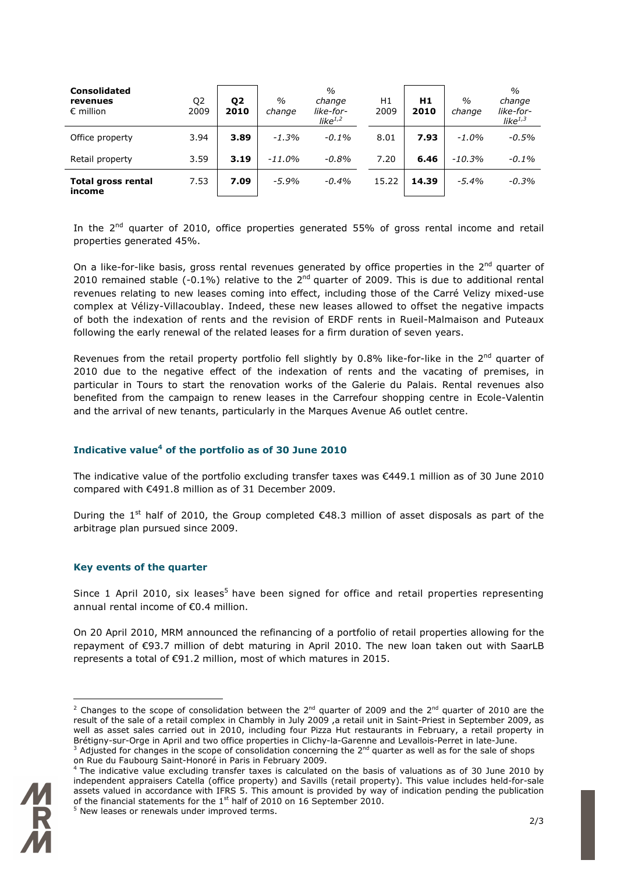| <b>Consolidated</b><br>revenues<br>$\epsilon$ million | Q <sub>2</sub><br>2009 | Q <sub>2</sub><br>2010 | $\%$<br>change | $\frac{0}{0}$<br>change<br>like-for-<br>like $1/2$ | H1<br>2009 | H1<br>2010 | $\frac{0}{0}$<br>change | $\frac{0}{0}$<br>change<br>like-for-<br>like $1,3$ |
|-------------------------------------------------------|------------------------|------------------------|----------------|----------------------------------------------------|------------|------------|-------------------------|----------------------------------------------------|
| Office property                                       | 3.94                   | 3.89                   | $-1.3%$        | $-0.1\%$                                           | 8.01       | 7.93       | $-1.0%$                 | $-0.5%$                                            |
| Retail property                                       | 3.59                   | 3.19                   | $-11.0%$       | $-0.8%$                                            | 7.20       | 6.46       | $-10.3%$                | $-0.1%$                                            |
| <b>Total gross rental</b><br>income                   | 7.53                   | 7.09                   | $-5.9%$        | $-0.4%$                                            | 15.22      | 14.39      | $-5.4%$                 | $-0.3%$                                            |

In the  $2<sup>nd</sup>$  quarter of 2010, office properties generated 55% of gross rental income and retail properties generated 45%.

On a like-for-like basis, gross rental revenues generated by office properties in the 2<sup>nd</sup> quarter of 2010 remained stable  $(-0.1\%)$  relative to the  $2^{nd}$  quarter of 2009. This is due to additional rental revenues relating to new leases coming into effect, including those of the Carré Velizy mixed-use complex at Vélizy-Villacoublay. Indeed, these new leases allowed to offset the negative impacts of both the indexation of rents and the revision of ERDF rents in Rueil-Malmaison and Puteaux following the early renewal of the related leases for a firm duration of seven years.

Revenues from the retail property portfolio fell slightly by  $0.8\%$  like-for-like in the 2<sup>nd</sup> quarter of 2010 due to the negative effect of the indexation of rents and the vacating of premises, in particular in Tours to start the renovation works of the Galerie du Palais. Rental revenues also benefited from the campaign to renew leases in the Carrefour shopping centre in Ecole-Valentin and the arrival of new tenants, particularly in the Marques Avenue A6 outlet centre.

## **Indicative value<sup>4</sup> of the portfolio as of 30 June 2010**

The indicative value of the portfolio excluding transfer taxes was €449.1 million as of 30 June 2010 compared with €491.8 million as of 31 December 2009.

During the 1<sup>st</sup> half of 2010, the Group completed  $\epsilon$ 48.3 million of asset disposals as part of the arbitrage plan pursued since 2009.

## **Key events of the quarter**

Since 1 April 2010, six leases<sup>5</sup> have been signed for office and retail properties representing annual rental income of €0.4 million.

On 20 April 2010, MRM announced the refinancing of a portfolio of retail properties allowing for the repayment of €93.7 million of debt maturing in April 2010. The new loan taken out with SaarLB represents a total of €91.2 million, most of which matures in 2015.

 $\overline{a}$ 

<sup>&</sup>lt;sup>2</sup> Changes to the scope of consolidation between the 2<sup>nd</sup> quarter of 2009 and the 2<sup>nd</sup> quarter of 2010 are the result of the sale of a retail complex in Chambly in July 2009 ,a retail unit in Saint-Priest in September 2009, as well as asset sales carried out in 2010, including four Pizza Hut restaurants in February, a retail property in Brétigny-sur-Orge in April and two office properties in Clichy-la-Garenne and Levallois-Perret in late-June.

<sup>&</sup>lt;sup>3</sup> Adjusted for changes in the scope of consolidation concerning the 2<sup>nd</sup> quarter as well as for the sale of shops on Rue du Faubourg Saint-Honoré in Paris in February 2009.

<sup>&</sup>lt;sup>4</sup> The indicative value excluding transfer taxes is calculated on the basis of valuations as of 30 June 2010 by independent appraisers Catella (office property) and Savills (retail property). This value includes held-for-sale assets valued in accordance with IFRS 5. This amount is provided by way of indication pending the publication of the financial statements for the 1<sup>st</sup> half of 2010 on 16 September 2010.